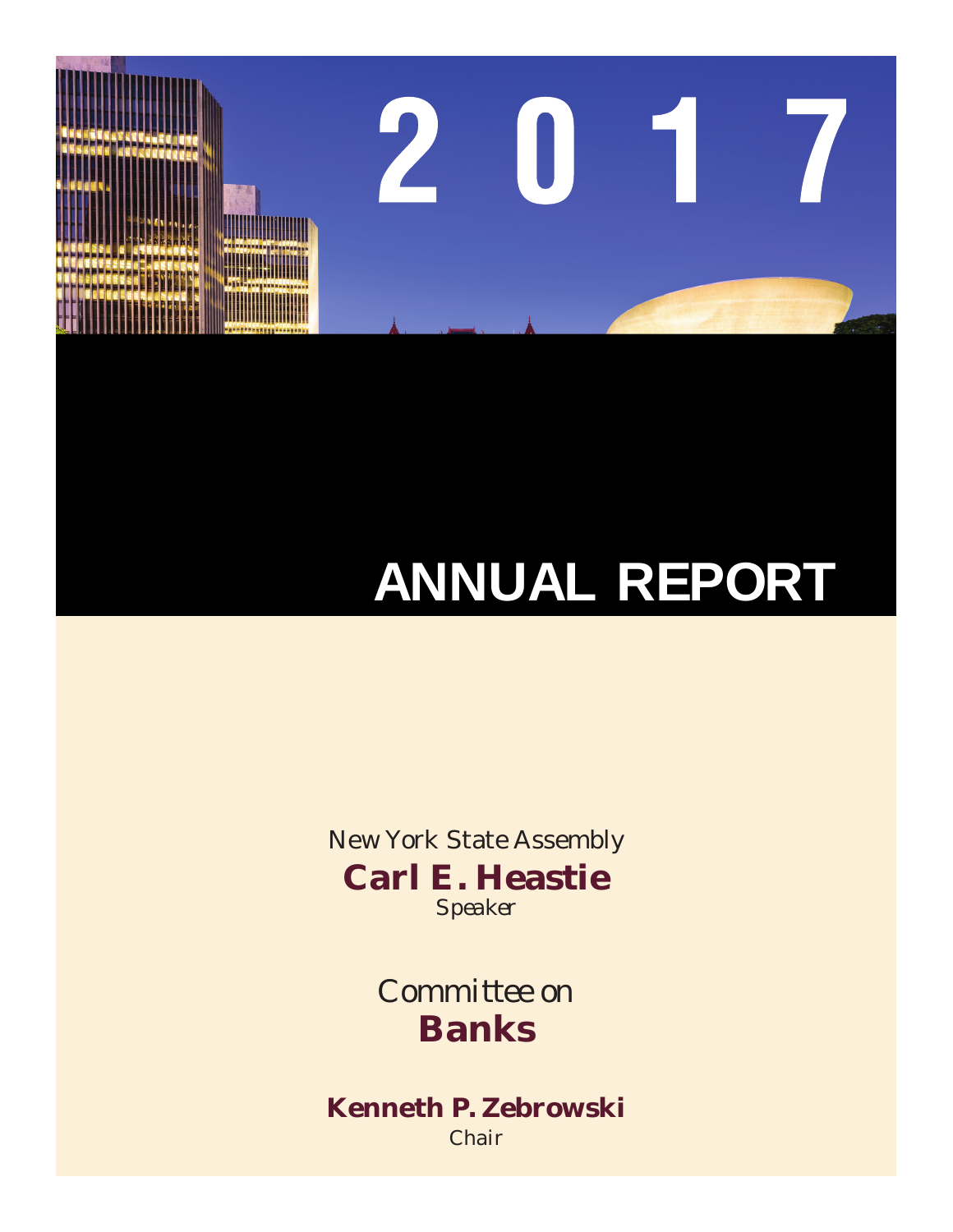New York State Assembly **Carl E. Heastie** *Speaker*

> *Committee on*  **Banks**

**Kenneth P. Zebrowski** *Chair*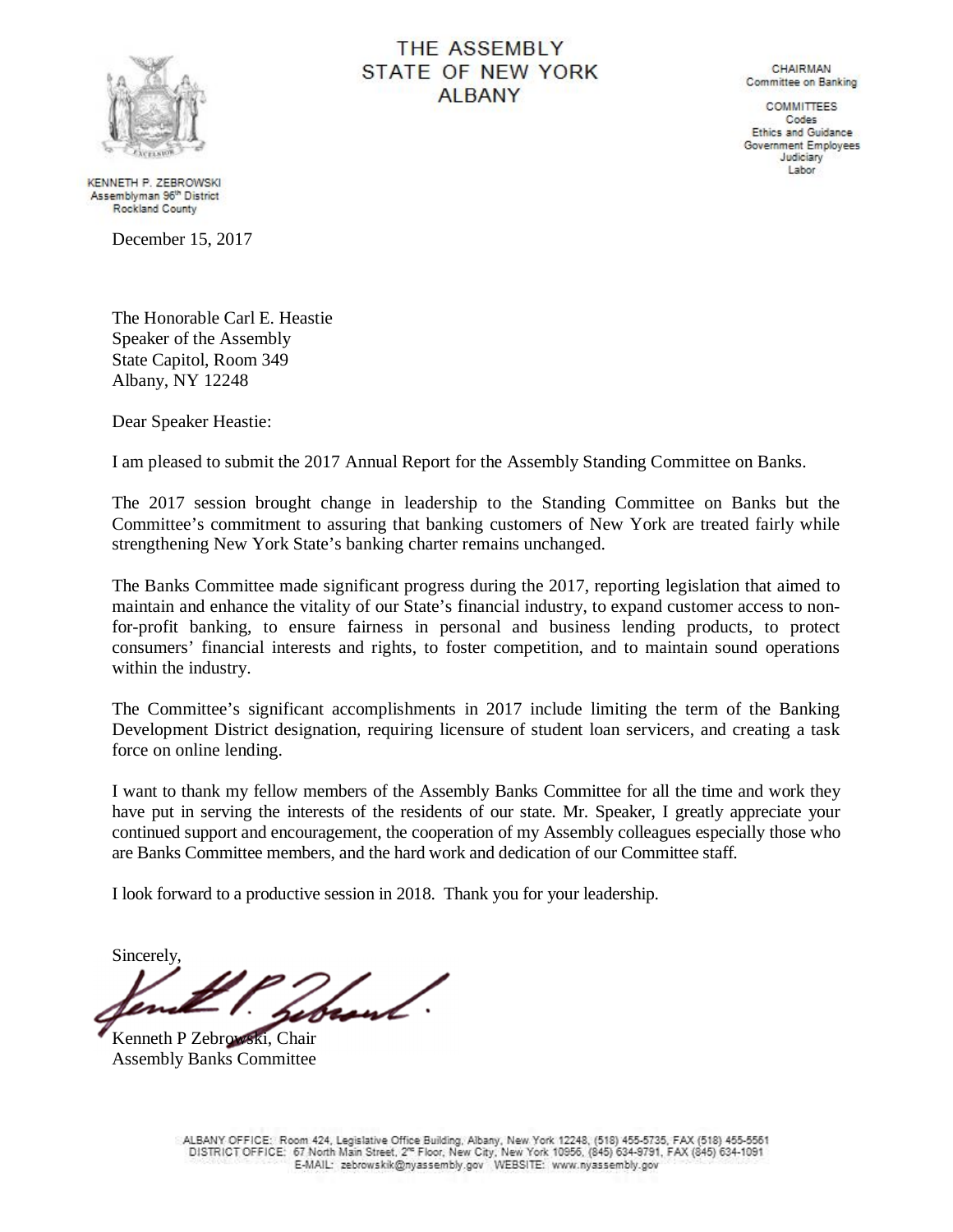

# **THE ASSEMBLY** STATE OF NEW YORK **ALBANY**

**CHAIRMAN** Committee on Banking

**COMMITTEES** Codes Ethics and Guidance Government Employees Judiciary Labor

KENNETH P. ZEBROWSKI Assemblyman 96<sup>th</sup> District **Rockland County** 

December 15, 2017

The Honorable Carl E. Heastie Speaker of the Assembly State Capitol, Room 349 Albany, NY 12248

Dear Speaker Heastie:

I am pleased to submit the 2017 Annual Report for the Assembly Standing Committee on Banks.

The 2017 session brought change in leadership to the Standing Committee on Banks but the Committee's commitment to assuring that banking customers of New York are treated fairly while strengthening New York State's banking charter remains unchanged.

The Banks Committee made significant progress during the 2017, reporting legislation that aimed to maintain and enhance the vitality of our State's financial industry, to expand customer access to nonfor-profit banking, to ensure fairness in personal and business lending products, to protect consumers' financial interests and rights, to foster competition, and to maintain sound operations within the industry.

The Committee's significant accomplishments in 2017 include limiting the term of the Banking Development District designation, requiring licensure of student loan servicers, and creating a task force on online lending.

I want to thank my fellow members of the Assembly Banks Committee for all the time and work they have put in serving the interests of the residents of our state. Mr. Speaker, I greatly appreciate your continued support and encouragement, the cooperation of my Assembly colleagues especially those who are Banks Committee members, and the hard work and dedication of our Committee staff.

I look forward to a productive session in 2018. Thank you for your leadership.

Sincerely,

Kenneth P Zebrowski, Chair Assembly Banks Committee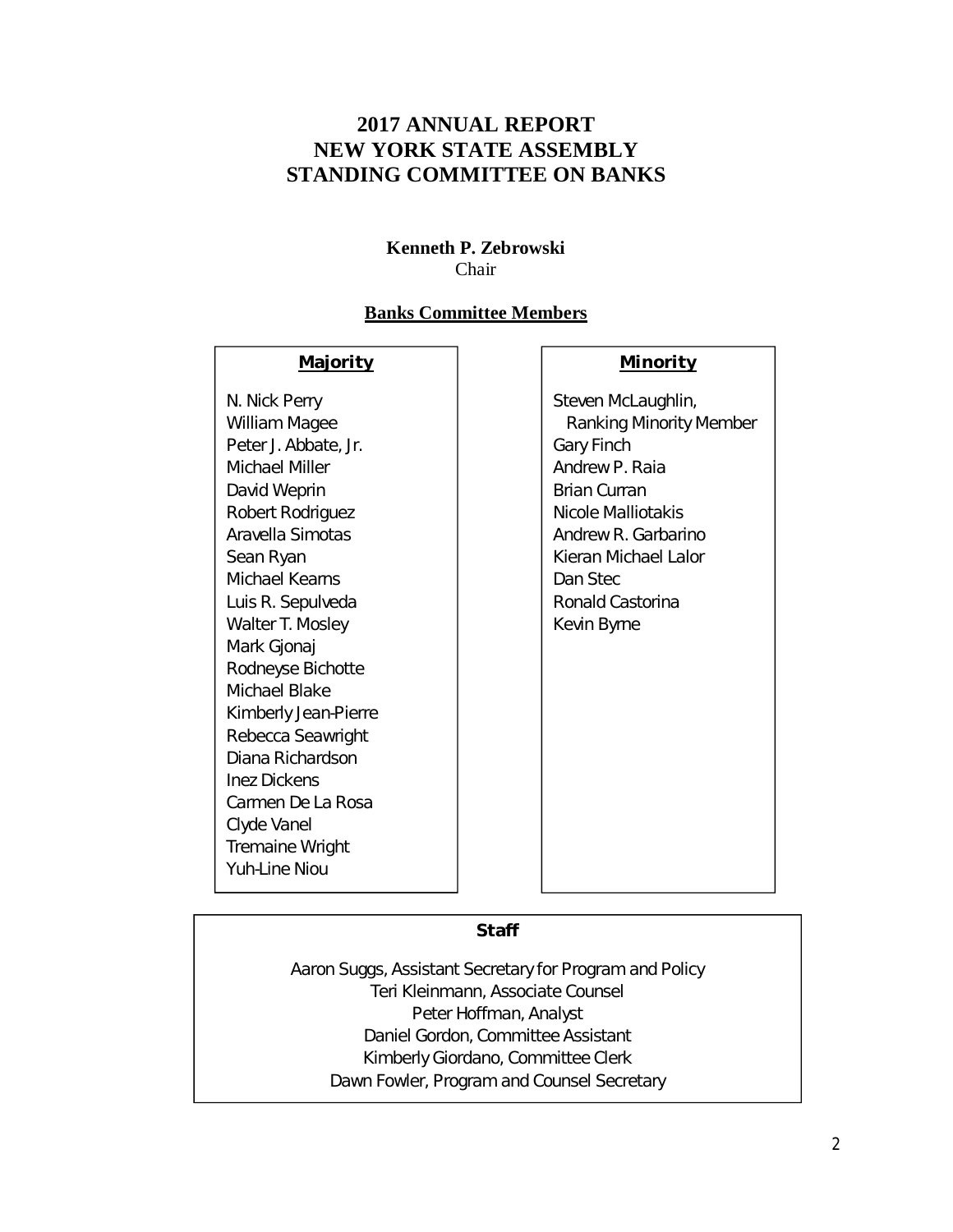# **2017 ANNUAL REPORT NEW YORK STATE ASSEMBLY STANDING COMMITTEE ON BANKS**

## **Kenneth P. Zebrowski** Chair

## **Banks Committee Members**

#### **Majority**

N. Nick Perry William Magee Peter J. Abbate, Jr. Michael Miller David Weprin Robert Rodriguez Aravella Simotas Sean Ryan Michael Kearns Luis R. Sepulveda Walter T. Mosley Mark Gjonaj Rodneyse Bichotte Michael Blake Kimberly Jean-Pierre Rebecca Seawright Diana Richardson Inez Dickens Carmen De La Rosa Clyde Vanel Tremaine Wright Yuh-Line Niou

## **Minority**

Steven McLaughlin, Ranking Minority Member Gary Finch Andrew P. Raia Brian Curran Nicole Malliotakis Andrew R. Garbarino Kieran Michael Lalor Dan Stec Ronald Castorina Kevin Byrne

## **Staff**

Aaron Suggs, Assistant Secretary for Program and Policy Teri Kleinmann, Associate Counsel Peter Hoffman, Analyst Daniel Gordon, Committee Assistant Kimberly Giordano, Committee Clerk Dawn Fowler, Program and Counsel Secretary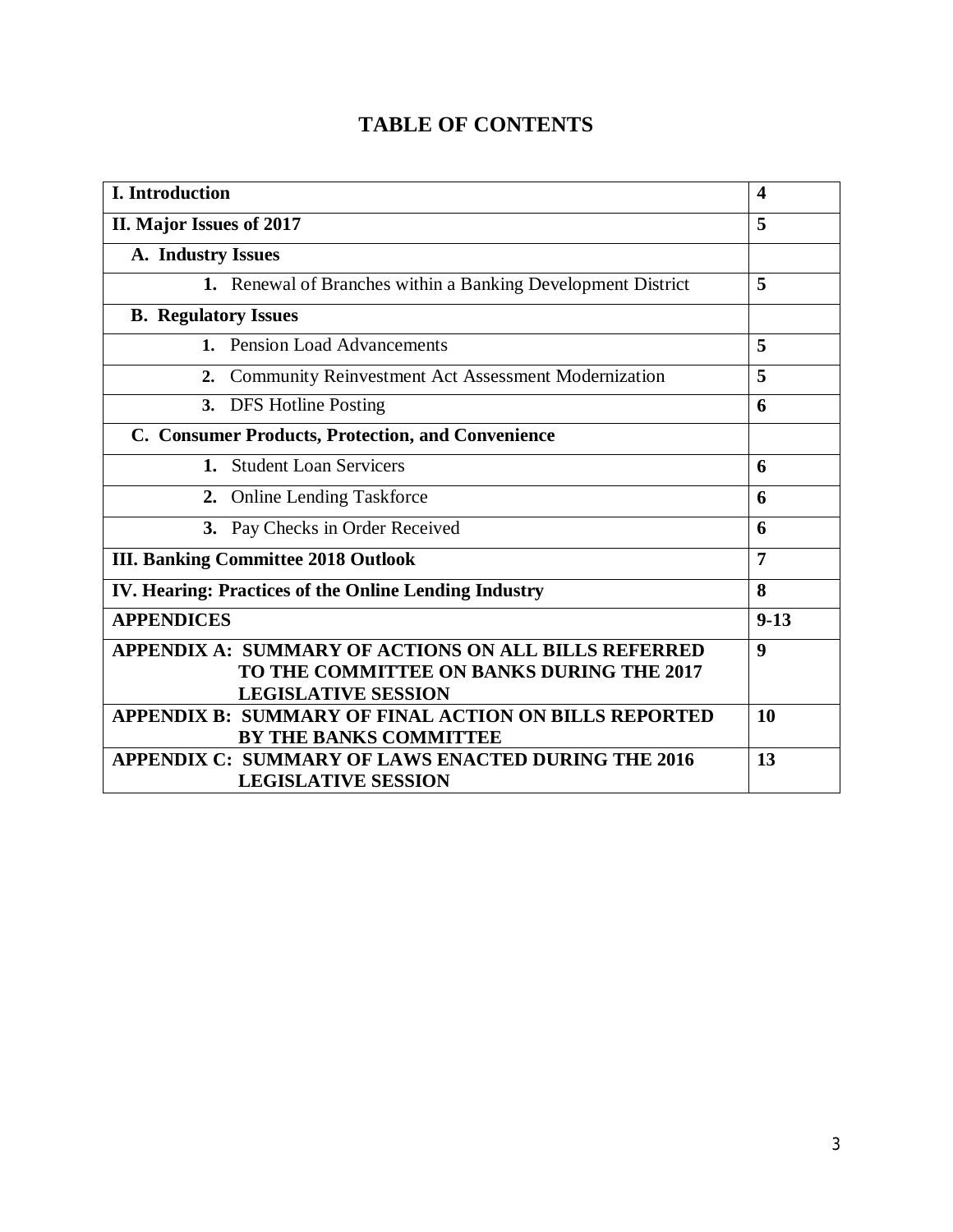# **TABLE OF CONTENTS**

| I. Introduction                                                                                                                        |    |  |  |  |
|----------------------------------------------------------------------------------------------------------------------------------------|----|--|--|--|
| II. Major Issues of 2017                                                                                                               | 5  |  |  |  |
| A. Industry Issues                                                                                                                     |    |  |  |  |
| 1. Renewal of Branches within a Banking Development District                                                                           | 5  |  |  |  |
| <b>B.</b> Regulatory Issues                                                                                                            |    |  |  |  |
| 1. Pension Load Advancements                                                                                                           | 5  |  |  |  |
| Community Reinvestment Act Assessment Modernization<br>2.                                                                              | 5  |  |  |  |
| 3. DFS Hotline Posting                                                                                                                 |    |  |  |  |
| C. Consumer Products, Protection, and Convenience                                                                                      |    |  |  |  |
| <b>Student Loan Servicers</b><br>1.                                                                                                    | 6  |  |  |  |
| 2. Online Lending Taskforce                                                                                                            | 6  |  |  |  |
| 3. Pay Checks in Order Received                                                                                                        | 6  |  |  |  |
| <b>III. Banking Committee 2018 Outlook</b>                                                                                             |    |  |  |  |
| IV. Hearing: Practices of the Online Lending Industry                                                                                  |    |  |  |  |
| <b>APPENDICES</b>                                                                                                                      |    |  |  |  |
| <b>APPENDIX A: SUMMARY OF ACTIONS ON ALL BILLS REFERRED</b><br>TO THE COMMITTEE ON BANKS DURING THE 2017<br><b>LEGISLATIVE SESSION</b> | 9  |  |  |  |
| APPENDIX B: SUMMARY OF FINAL ACTION ON BILLS REPORTED<br>BY THE BANKS COMMITTEE                                                        | 10 |  |  |  |
| APPENDIX C: SUMMARY OF LAWS ENACTED DURING THE 2016<br><b>LEGISLATIVE SESSION</b>                                                      |    |  |  |  |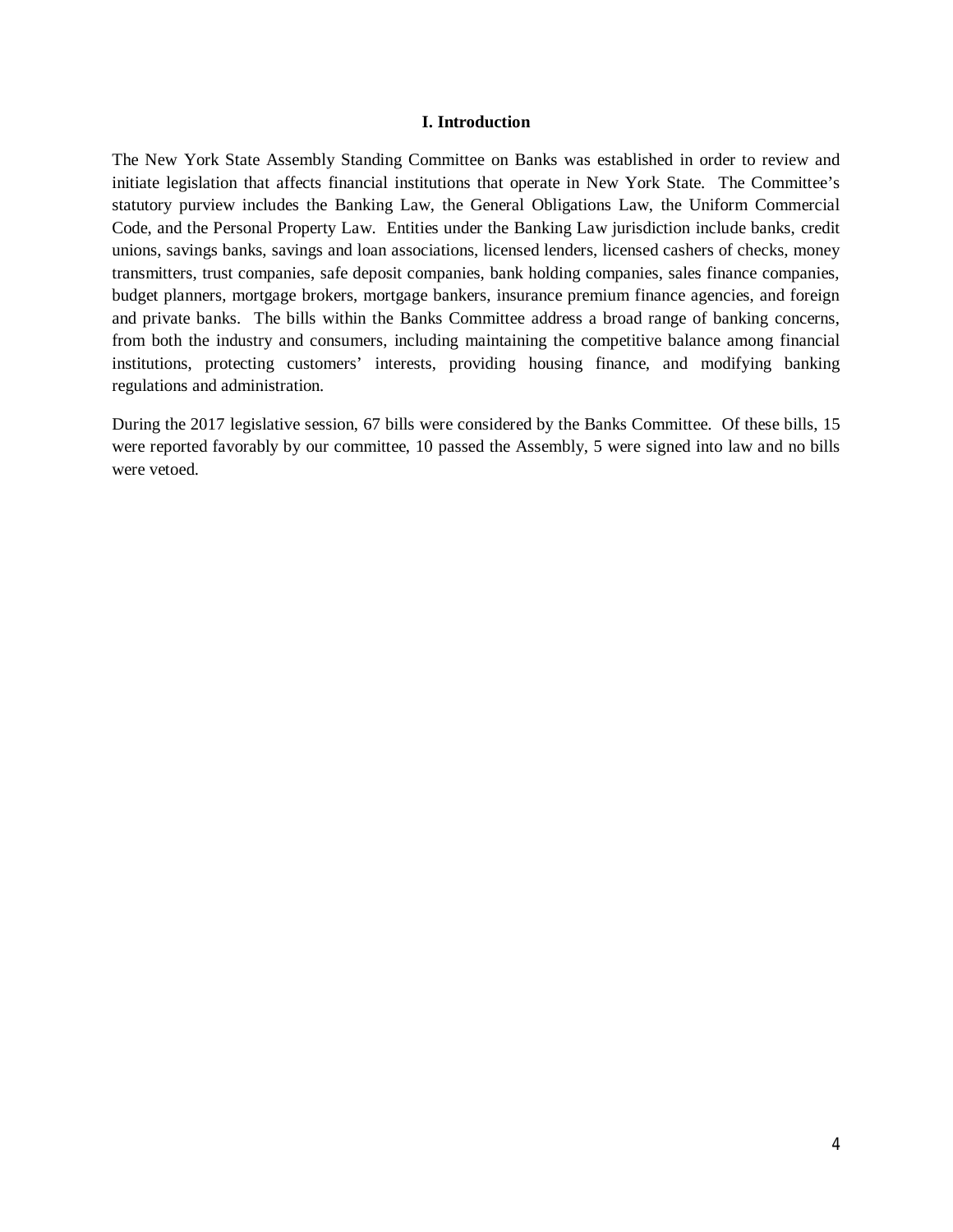#### **I. Introduction**

The New York State Assembly Standing Committee on Banks was established in order to review and initiate legislation that affects financial institutions that operate in New York State. The Committee's statutory purview includes the Banking Law, the General Obligations Law, the Uniform Commercial Code, and the Personal Property Law. Entities under the Banking Law jurisdiction include banks, credit unions, savings banks, savings and loan associations, licensed lenders, licensed cashers of checks, money transmitters, trust companies, safe deposit companies, bank holding companies, sales finance companies, budget planners, mortgage brokers, mortgage bankers, insurance premium finance agencies, and foreign and private banks. The bills within the Banks Committee address a broad range of banking concerns, from both the industry and consumers, including maintaining the competitive balance among financial institutions, protecting customers' interests, providing housing finance, and modifying banking regulations and administration.

During the 2017 legislative session, 67 bills were considered by the Banks Committee. Of these bills, 15 were reported favorably by our committee, 10 passed the Assembly, 5 were signed into law and no bills were vetoed.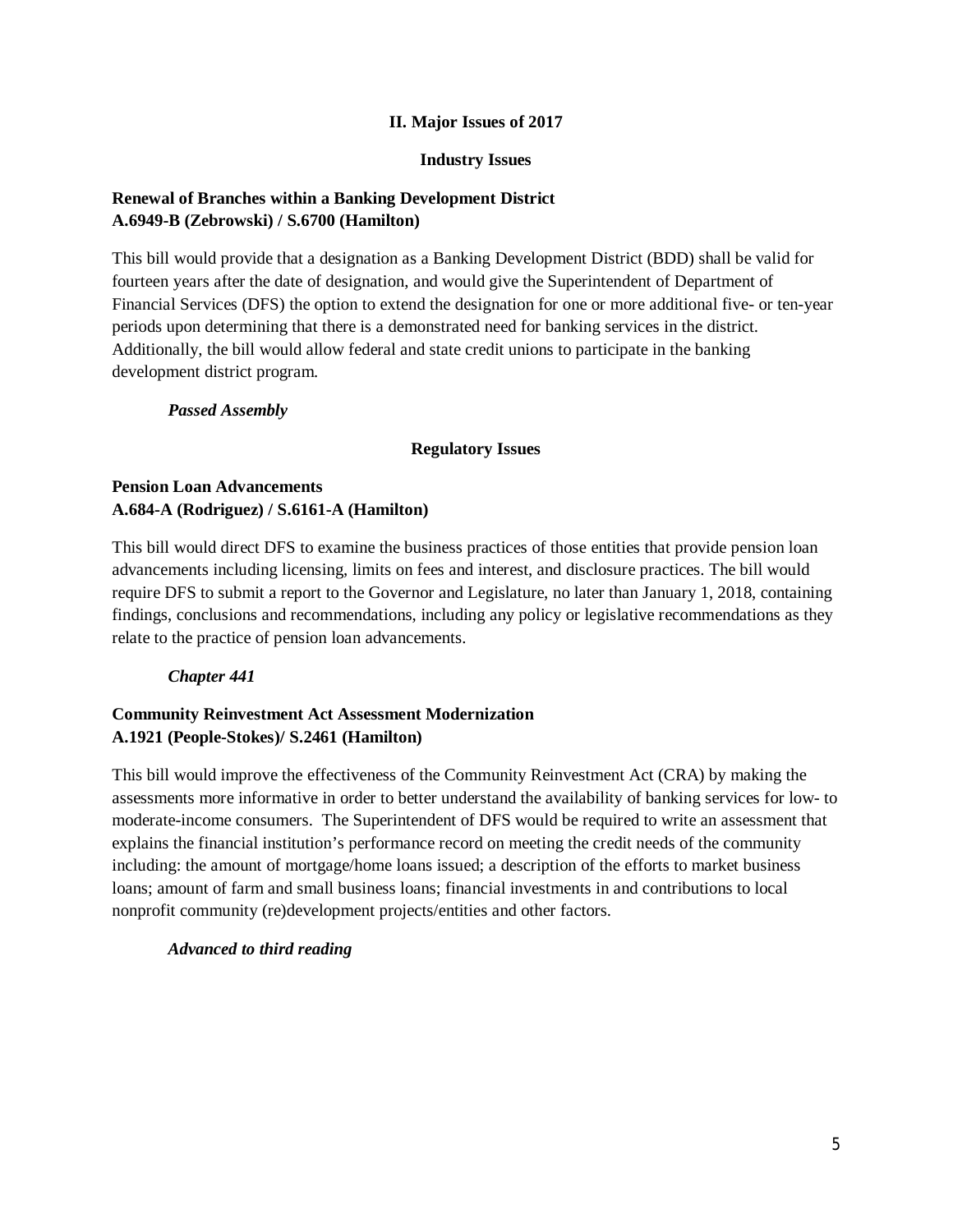#### **II. Major Issues of 2017**

#### **Industry Issues**

## **Renewal of Branches within a Banking Development District A.6949-B (Zebrowski) / S.6700 (Hamilton)**

This bill would provide that a designation as a Banking Development District (BDD) shall be valid for fourteen years after the date of designation, and would give the Superintendent of Department of Financial Services (DFS) the option to extend the designation for one or more additional five- or ten-year periods upon determining that there is a demonstrated need for banking services in the district. Additionally, the bill would allow federal and state credit unions to participate in the banking development district program.

*Passed Assembly*

#### **Regulatory Issues**

## **Pension Loan Advancements A.684-A (Rodriguez) / S.6161-A (Hamilton)**

This bill would direct DFS to examine the business practices of those entities that provide pension loan advancements including licensing, limits on fees and interest, and disclosure practices. The bill would require DFS to submit a report to the Governor and Legislature, no later than January 1, 2018, containing findings, conclusions and recommendations, including any policy or legislative recommendations as they relate to the practice of pension loan advancements.

#### *Chapter 441*

## **Community Reinvestment Act Assessment Modernization A.1921 (People-Stokes)/ S.2461 (Hamilton)**

This bill would improve the effectiveness of the Community Reinvestment Act (CRA) by making the assessments more informative in order to better understand the availability of banking services for low- to moderate-income consumers. The Superintendent of DFS would be required to write an assessment that explains the financial institution's performance record on meeting the credit needs of the community including: the amount of mortgage/home loans issued; a description of the efforts to market business loans; amount of farm and small business loans; financial investments in and contributions to local nonprofit community (re)development projects/entities and other factors.

#### *Advanced to third reading*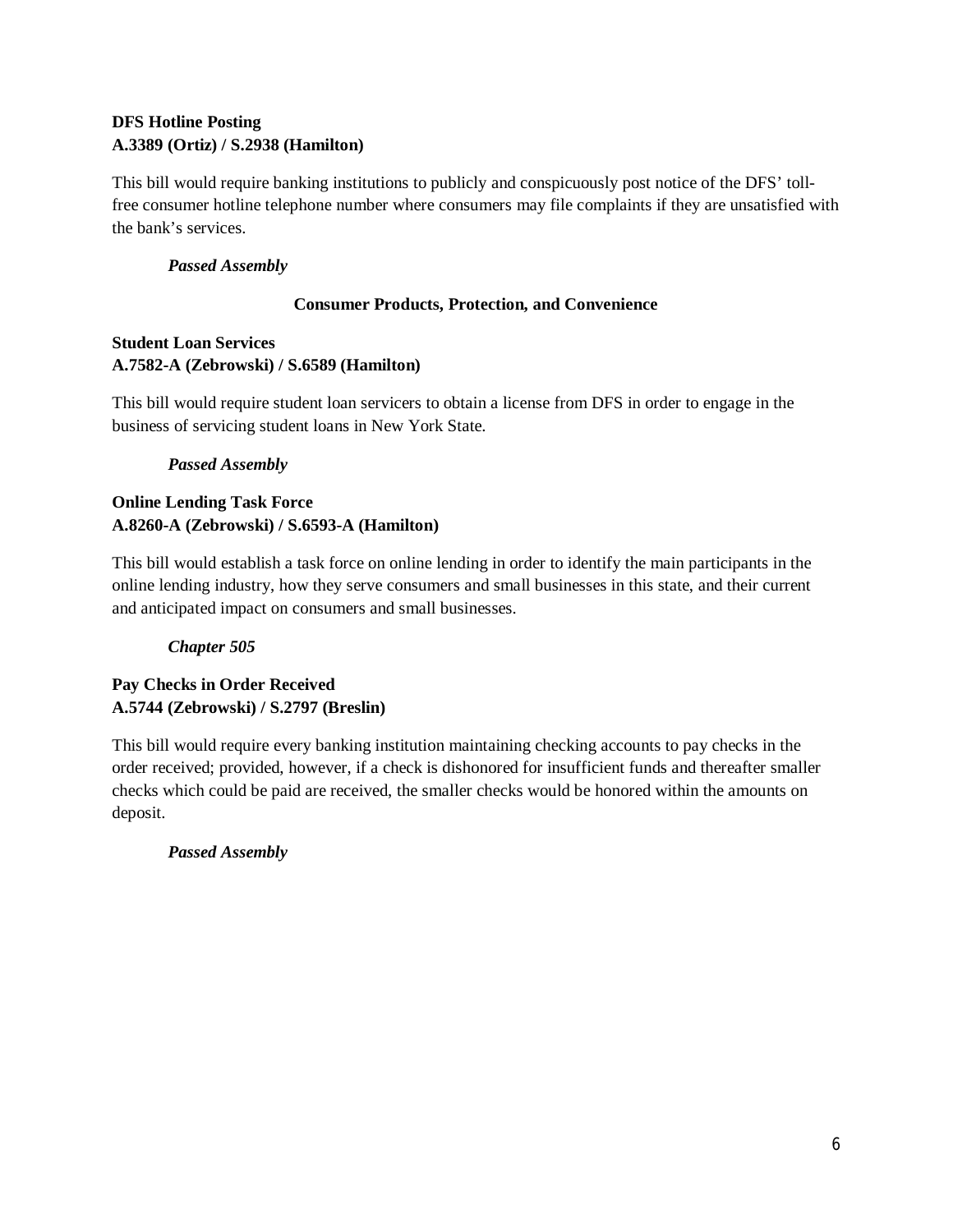## **DFS Hotline Posting A.3389 (Ortiz) / S.2938 (Hamilton)**

This bill would require banking institutions to publicly and conspicuously post notice of the DFS' tollfree consumer hotline telephone number where consumers may file complaints if they are unsatisfied with the bank's services.

## *Passed Assembly*

## **Consumer Products, Protection, and Convenience**

## **Student Loan Services A.7582-A (Zebrowski) / S.6589 (Hamilton)**

This bill would require student loan servicers to obtain a license from DFS in order to engage in the business of servicing student loans in New York State.

## *Passed Assembly*

## **Online Lending Task Force A.8260-A (Zebrowski) / S.6593-A (Hamilton)**

This bill would establish a task force on online lending in order to identify the main participants in the online lending industry, how they serve consumers and small businesses in this state, and their current and anticipated impact on consumers and small businesses.

# *Chapter 505*

## **Pay Checks in Order Received A.5744 (Zebrowski) / S.2797 (Breslin)**

This bill would require every banking institution maintaining checking accounts to pay checks in the order received; provided, however, if a check is dishonored for insufficient funds and thereafter smaller checks which could be paid are received, the smaller checks would be honored within the amounts on deposit.

# *Passed Assembly*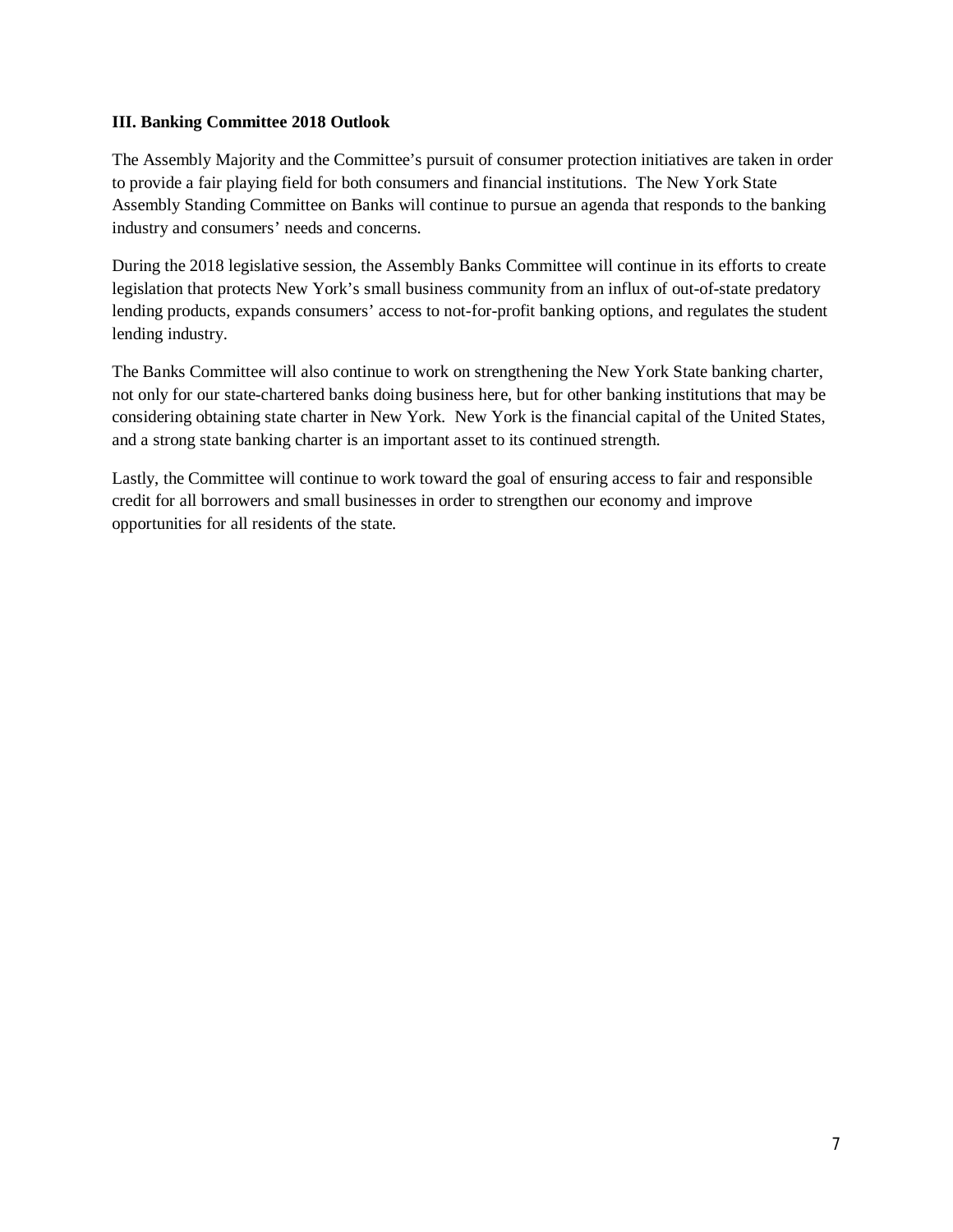#### **III. Banking Committee 2018 Outlook**

The Assembly Majority and the Committee's pursuit of consumer protection initiatives are taken in order to provide a fair playing field for both consumers and financial institutions. The New York State Assembly Standing Committee on Banks will continue to pursue an agenda that responds to the banking industry and consumers' needs and concerns.

During the 2018 legislative session, the Assembly Banks Committee will continue in its efforts to create legislation that protects New York's small business community from an influx of out-of-state predatory lending products, expands consumers' access to not-for-profit banking options, and regulates the student lending industry.

The Banks Committee will also continue to work on strengthening the New York State banking charter, not only for our state-chartered banks doing business here, but for other banking institutions that may be considering obtaining state charter in New York. New York is the financial capital of the United States, and a strong state banking charter is an important asset to its continued strength.

Lastly, the Committee will continue to work toward the goal of ensuring access to fair and responsible credit for all borrowers and small businesses in order to strengthen our economy and improve opportunities for all residents of the state.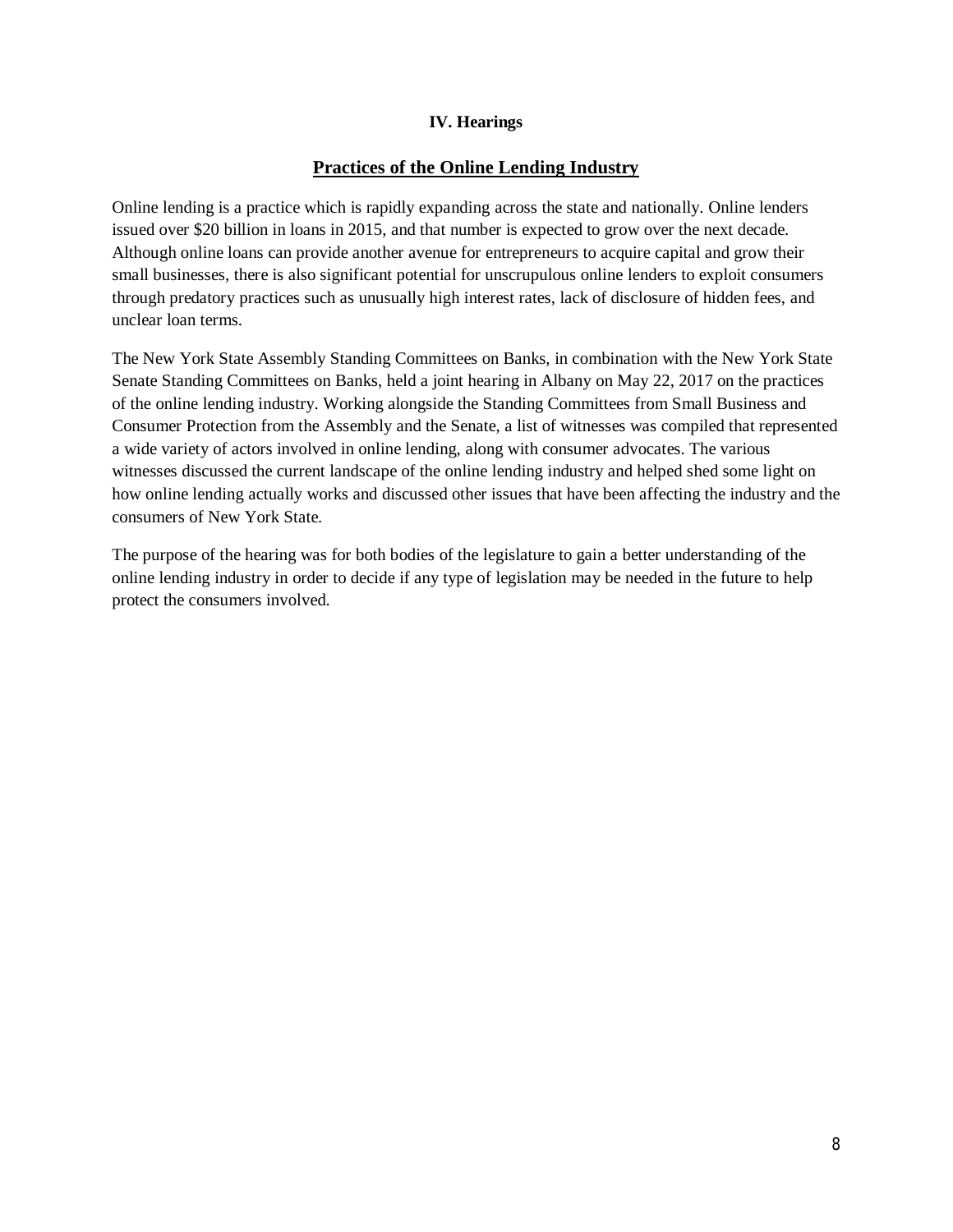#### **IV. Hearings**

## **Practices of the Online Lending Industry**

Online lending is a practice which is rapidly expanding across the state and nationally. Online lenders issued over \$20 billion in loans in 2015, and that number is expected to grow over the next decade. Although online loans can provide another avenue for entrepreneurs to acquire capital and grow their small businesses, there is also significant potential for unscrupulous online lenders to exploit consumers through predatory practices such as unusually high interest rates, lack of disclosure of hidden fees, and unclear loan terms.

The New York State Assembly Standing Committees on Banks, in combination with the New York State Senate Standing Committees on Banks, held a joint hearing in Albany on May 22, 2017 on the practices of the online lending industry. Working alongside the Standing Committees from Small Business and Consumer Protection from the Assembly and the Senate, a list of witnesses was compiled that represented a wide variety of actors involved in online lending, along with consumer advocates. The various witnesses discussed the current landscape of the online lending industry and helped shed some light on how online lending actually works and discussed other issues that have been affecting the industry and the consumers of New York State.

The purpose of the hearing was for both bodies of the legislature to gain a better understanding of the online lending industry in order to decide if any type of legislation may be needed in the future to help protect the consumers involved.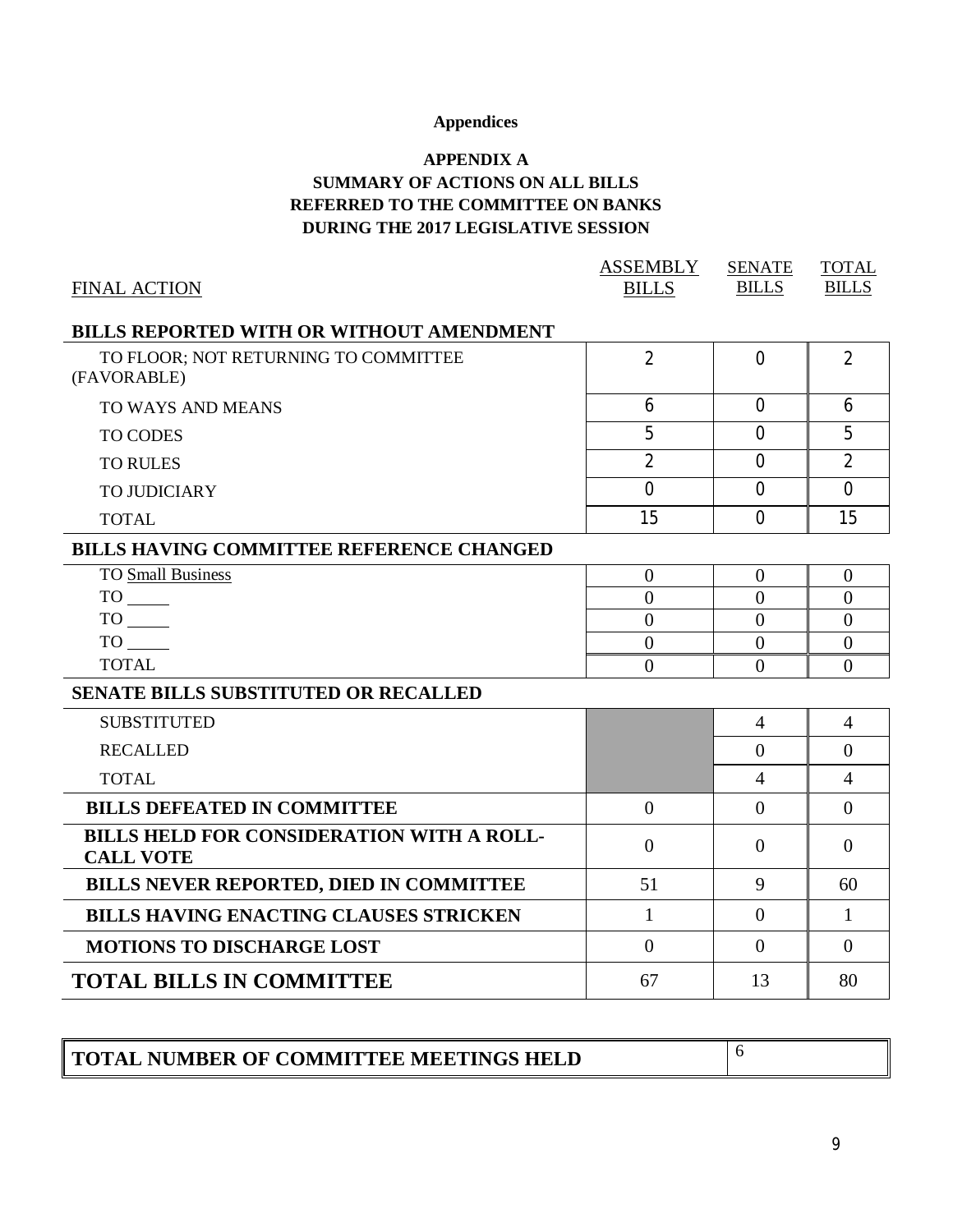# **Appendices**

# **APPENDIX A SUMMARY OF ACTIONS ON ALL BILLS REFERRED TO THE COMMITTEE ON BANKS DURING THE 2017 LEGISLATIVE SESSION**

|                                                                      | <b>ASSEMBLY</b> | <b>SENATE</b>  | <b>TOTAL</b>   |
|----------------------------------------------------------------------|-----------------|----------------|----------------|
| <b>FINAL ACTION</b>                                                  | <b>BILLS</b>    | <b>BILLS</b>   | <b>BILLS</b>   |
| <b>BILLS REPORTED WITH OR WITHOUT AMENDMENT</b>                      |                 |                |                |
| TO FLOOR; NOT RETURNING TO COMMITTEE<br>(FAVORABLE)                  | $\overline{2}$  | $\Omega$       | $\overline{2}$ |
| TO WAYS AND MEANS                                                    | 6               | $\overline{0}$ | 6              |
| <b>TO CODES</b>                                                      | 5               | $\Omega$       | 5              |
| <b>TO RULES</b>                                                      | $\overline{2}$  | $\overline{0}$ | $\overline{2}$ |
| <b>TO JUDICIARY</b>                                                  | $\Omega$        | $\Omega$       | $\Omega$       |
| <b>TOTAL</b>                                                         | 15              | $\Omega$       | 15             |
| <b>BILLS HAVING COMMITTEE REFERENCE CHANGED</b>                      |                 |                |                |
| <b>TO Small Business</b>                                             | $\overline{0}$  | $\mathbf{0}$   | $\mathbf{0}$   |
| $TO$ <sub>_____</sub>                                                | $\overline{0}$  | $\overline{0}$ | $\overline{0}$ |
| $TO$ <sub>_____</sub>                                                | $\overline{0}$  | $\overline{0}$ | $\overline{0}$ |
| TO TO                                                                | $\overline{0}$  | $\overline{0}$ | $\overline{0}$ |
| <b>TOTAL</b>                                                         | $\overline{0}$  | $\overline{0}$ | $\overline{0}$ |
| <b>SENATE BILLS SUBSTITUTED OR RECALLED</b>                          |                 |                |                |
| <b>SUBSTITUTED</b>                                                   |                 | $\overline{4}$ | $\overline{4}$ |
| <b>RECALLED</b>                                                      |                 | $\overline{0}$ | $\overline{0}$ |
| <b>TOTAL</b>                                                         |                 | $\overline{4}$ | $\overline{4}$ |
| <b>BILLS DEFEATED IN COMMITTEE</b>                                   | $\overline{0}$  | $\overline{0}$ | $\overline{0}$ |
| <b>BILLS HELD FOR CONSIDERATION WITH A ROLL-</b><br><b>CALL VOTE</b> | $\overline{0}$  | $\overline{0}$ | $\overline{0}$ |
| <b>BILLS NEVER REPORTED, DIED IN COMMITTEE</b>                       | 51              | 9              | 60             |
| <b>BILLS HAVING ENACTING CLAUSES STRICKEN</b>                        | $\mathbf{1}$    | $\theta$       | $\mathbf{1}$   |
| <b>MOTIONS TO DISCHARGE LOST</b>                                     | $\Omega$        | $\theta$       | $\theta$       |
| <b>TOTAL BILLS IN COMMITTEE</b>                                      | 67              | 13             | 80             |
|                                                                      |                 |                |                |

| TOTAL NUMBER OF COMMITTEE MEETINGS HELD |  |
|-----------------------------------------|--|
|-----------------------------------------|--|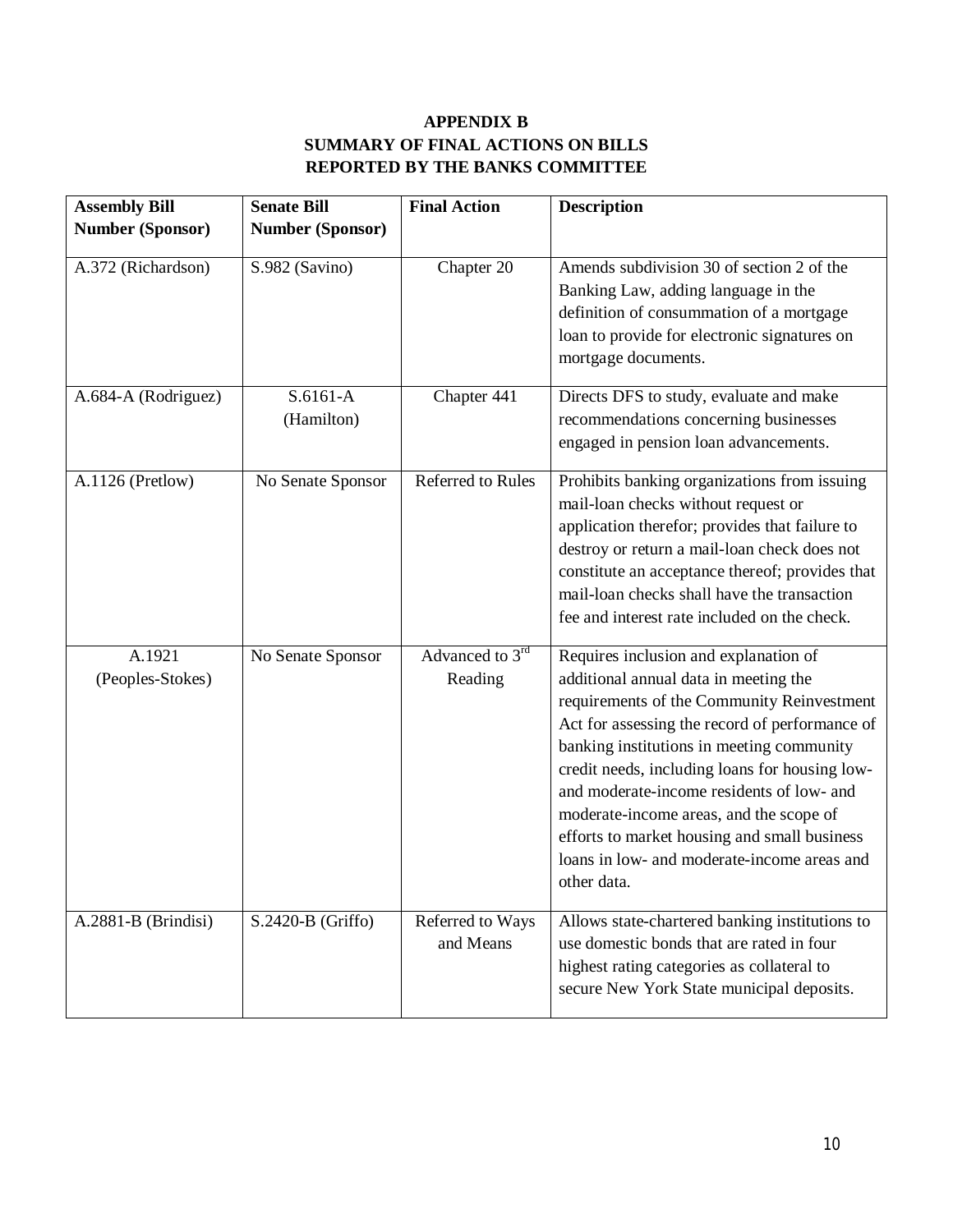# **APPENDIX B SUMMARY OF FINAL ACTIONS ON BILLS REPORTED BY THE BANKS COMMITTEE**

| <b>Assembly Bill</b>       | <b>Senate Bill</b>      | <b>Final Action</b>           | <b>Description</b>                                                                                                                                                                                                                                                                                                                                                                                                                                                                  |
|----------------------------|-------------------------|-------------------------------|-------------------------------------------------------------------------------------------------------------------------------------------------------------------------------------------------------------------------------------------------------------------------------------------------------------------------------------------------------------------------------------------------------------------------------------------------------------------------------------|
| <b>Number (Sponsor)</b>    | <b>Number (Sponsor)</b> |                               |                                                                                                                                                                                                                                                                                                                                                                                                                                                                                     |
| A.372 (Richardson)         | S.982 (Savino)          | Chapter 20                    | Amends subdivision 30 of section 2 of the<br>Banking Law, adding language in the<br>definition of consummation of a mortgage<br>loan to provide for electronic signatures on<br>mortgage documents.                                                                                                                                                                                                                                                                                 |
| A.684-A (Rodriguez)        | S.6161-A<br>(Hamilton)  | Chapter 441                   | Directs DFS to study, evaluate and make<br>recommendations concerning businesses<br>engaged in pension loan advancements.                                                                                                                                                                                                                                                                                                                                                           |
| A.1126 (Pretlow)           | No Senate Sponsor       | Referred to Rules             | Prohibits banking organizations from issuing<br>mail-loan checks without request or<br>application therefor; provides that failure to<br>destroy or return a mail-loan check does not<br>constitute an acceptance thereof; provides that<br>mail-loan checks shall have the transaction<br>fee and interest rate included on the check.                                                                                                                                             |
| A.1921<br>(Peoples-Stokes) | No Senate Sponsor       | Advanced to 3rd<br>Reading    | Requires inclusion and explanation of<br>additional annual data in meeting the<br>requirements of the Community Reinvestment<br>Act for assessing the record of performance of<br>banking institutions in meeting community<br>credit needs, including loans for housing low-<br>and moderate-income residents of low- and<br>moderate-income areas, and the scope of<br>efforts to market housing and small business<br>loans in low- and moderate-income areas and<br>other data. |
| A.2881-B (Brindisi)        | S.2420-B (Griffo)       | Referred to Ways<br>and Means | Allows state-chartered banking institutions to<br>use domestic bonds that are rated in four<br>highest rating categories as collateral to<br>secure New York State municipal deposits.                                                                                                                                                                                                                                                                                              |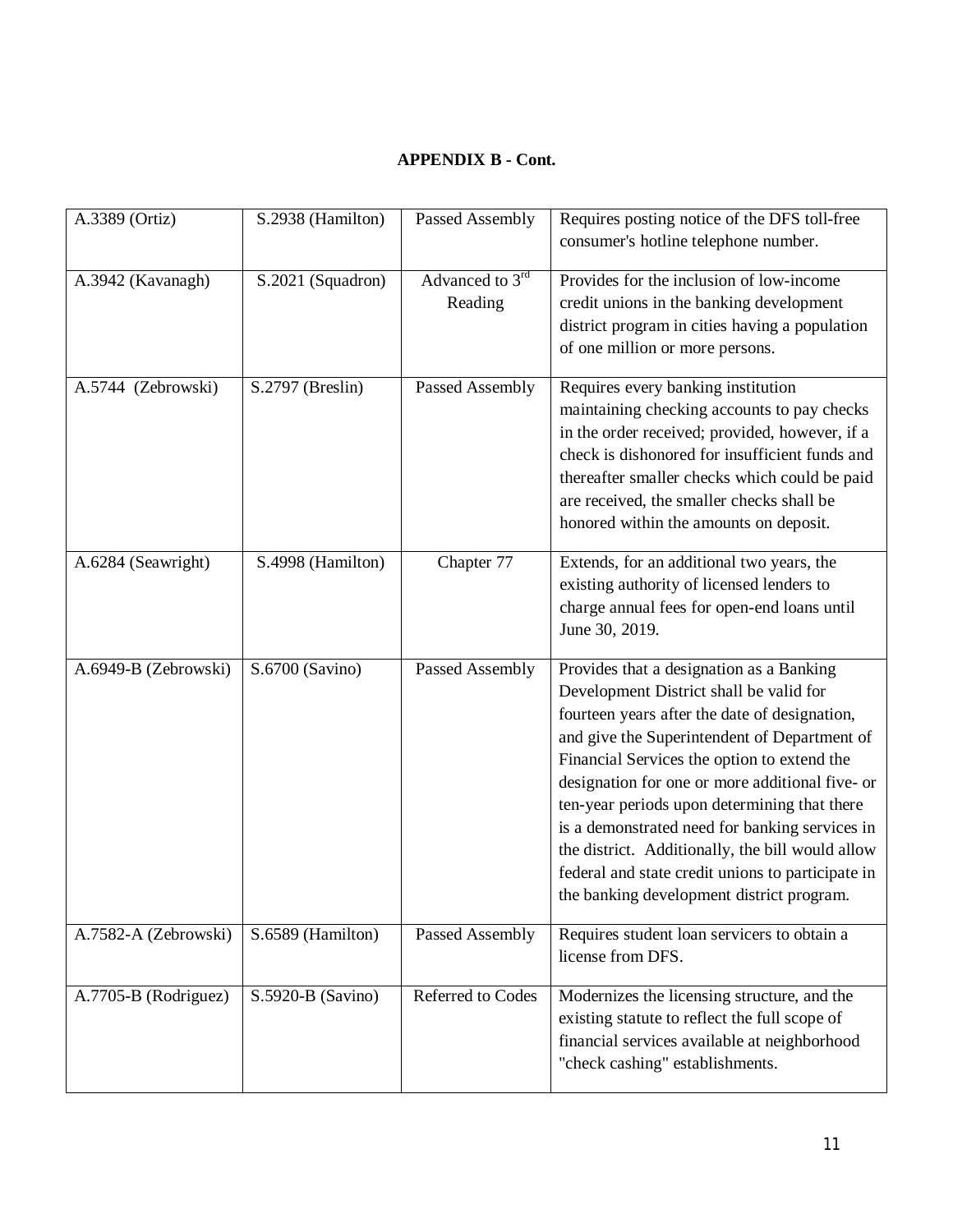# **APPENDIX B - Cont.**

| A.3389 (Ortiz)       | S.2938 (Hamilton) | Passed Assembly            | Requires posting notice of the DFS toll-free<br>consumer's hotline telephone number.                                                                                                                                                                                                                                                                                                                                                                                                                                                           |
|----------------------|-------------------|----------------------------|------------------------------------------------------------------------------------------------------------------------------------------------------------------------------------------------------------------------------------------------------------------------------------------------------------------------------------------------------------------------------------------------------------------------------------------------------------------------------------------------------------------------------------------------|
| A.3942 (Kavanagh)    | S.2021 (Squadron) | Advanced to 3rd<br>Reading | Provides for the inclusion of low-income<br>credit unions in the banking development<br>district program in cities having a population<br>of one million or more persons.                                                                                                                                                                                                                                                                                                                                                                      |
| A.5744 (Zebrowski)   | S.2797 (Breslin)  | Passed Assembly            | Requires every banking institution<br>maintaining checking accounts to pay checks<br>in the order received; provided, however, if a<br>check is dishonored for insufficient funds and<br>thereafter smaller checks which could be paid<br>are received, the smaller checks shall be<br>honored within the amounts on deposit.                                                                                                                                                                                                                  |
| A.6284 (Seawright)   | S.4998 (Hamilton) | Chapter 77                 | Extends, for an additional two years, the<br>existing authority of licensed lenders to<br>charge annual fees for open-end loans until<br>June 30, 2019.                                                                                                                                                                                                                                                                                                                                                                                        |
| A.6949-B (Zebrowski) | S.6700 (Savino)   | Passed Assembly            | Provides that a designation as a Banking<br>Development District shall be valid for<br>fourteen years after the date of designation,<br>and give the Superintendent of Department of<br>Financial Services the option to extend the<br>designation for one or more additional five- or<br>ten-year periods upon determining that there<br>is a demonstrated need for banking services in<br>the district. Additionally, the bill would allow<br>federal and state credit unions to participate in<br>the banking development district program. |
| A.7582-A (Zebrowski) | S.6589 (Hamilton) | Passed Assembly            | Requires student loan servicers to obtain a<br>license from DFS.                                                                                                                                                                                                                                                                                                                                                                                                                                                                               |
| A.7705-B (Rodriguez) | S.5920-B (Savino) | <b>Referred to Codes</b>   | Modernizes the licensing structure, and the<br>existing statute to reflect the full scope of<br>financial services available at neighborhood<br>"check cashing" establishments.                                                                                                                                                                                                                                                                                                                                                                |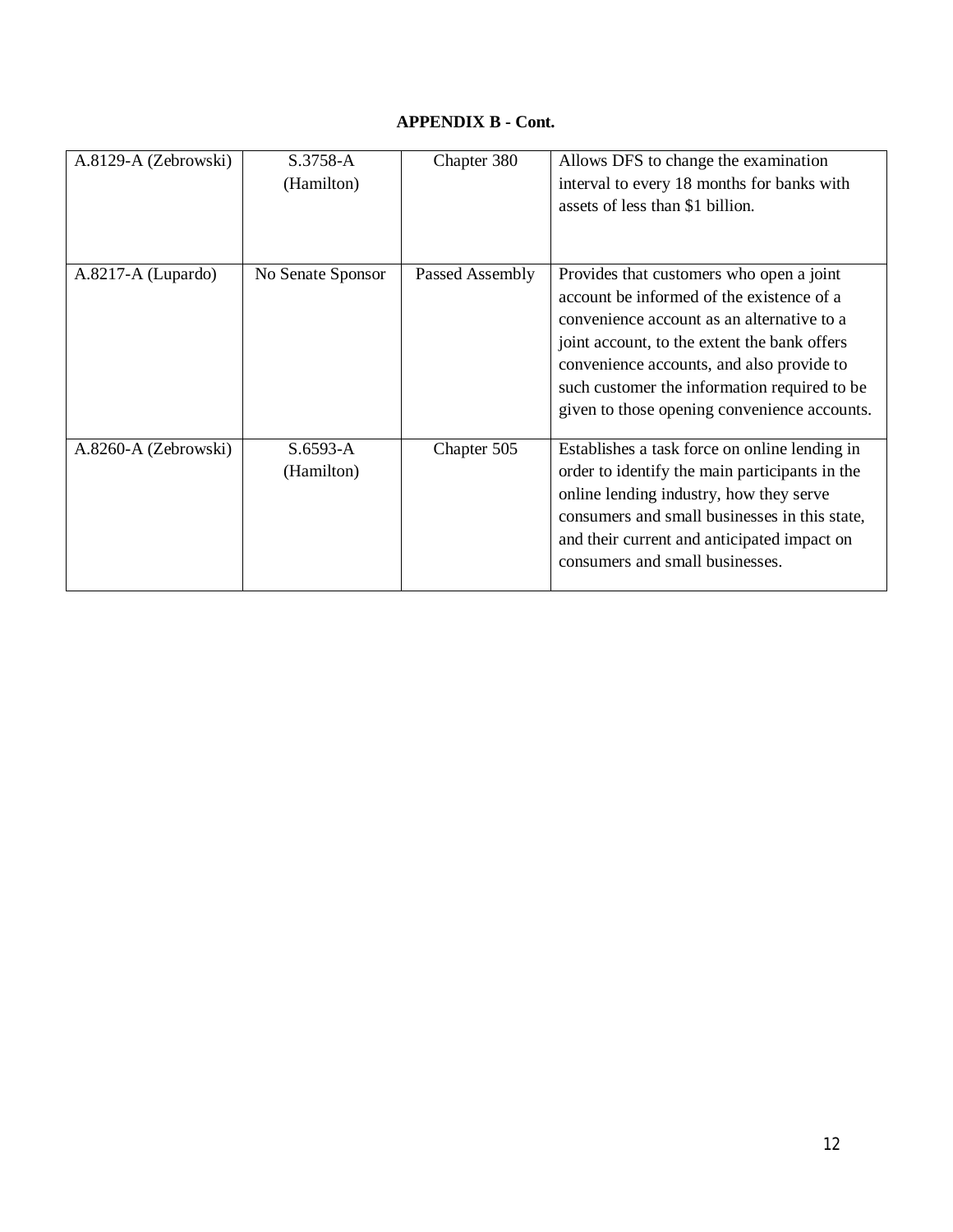## **APPENDIX B - Cont.**

| A.8129-A (Zebrowski) | S.3758-A<br>(Hamilton)   | Chapter 380     | Allows DFS to change the examination<br>interval to every 18 months for banks with<br>assets of less than \$1 billion.                                                                                                                                                                                                           |
|----------------------|--------------------------|-----------------|----------------------------------------------------------------------------------------------------------------------------------------------------------------------------------------------------------------------------------------------------------------------------------------------------------------------------------|
| A.8217-A (Lupardo)   | No Senate Sponsor        | Passed Assembly | Provides that customers who open a joint<br>account be informed of the existence of a<br>convenience account as an alternative to a<br>joint account, to the extent the bank offers<br>convenience accounts, and also provide to<br>such customer the information required to be<br>given to those opening convenience accounts. |
| A.8260-A (Zebrowski) | $S.6593-A$<br>(Hamilton) | Chapter 505     | Establishes a task force on online lending in<br>order to identify the main participants in the<br>online lending industry, how they serve<br>consumers and small businesses in this state,<br>and their current and anticipated impact on<br>consumers and small businesses.                                                    |